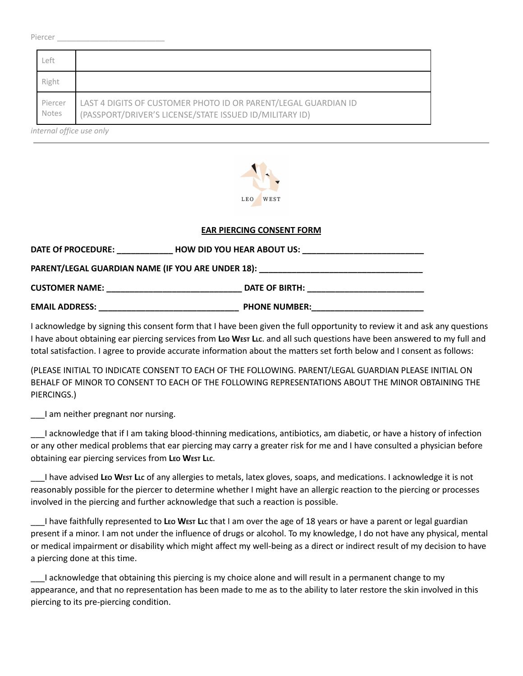#### Piercer \_\_\_\_\_\_\_\_\_\_\_\_\_\_\_\_\_\_\_\_\_\_\_

| ∟eft             |                                                                                                                           |
|------------------|---------------------------------------------------------------------------------------------------------------------------|
| Right            |                                                                                                                           |
| Piercer<br>Notes | LAST 4 DIGITS OF CUSTOMER PHOTO ID OR PARENT/LEGAL GUARDIAN ID<br>(PASSPORT/DRIVER'S LICENSE/STATE ISSUED ID/MILITARY ID) |

*internal office use only*



### **EAR PIERCING CONSENT FORM**

| DATE Of PROCEDURE:                                                                | <b>HOW DID YOU HEAR ABOUT US:</b> |  |  |  |  |
|-----------------------------------------------------------------------------------|-----------------------------------|--|--|--|--|
| PARENT/LEGAL GUARDIAN NAME (IF YOU ARE UNDER 18): _______________________________ |                                   |  |  |  |  |
| <b>CUSTOMER NAME:</b>                                                             | DATE OF BIRTH:                    |  |  |  |  |
| <b>EMAIL ADDRESS:</b>                                                             | <b>PHONE NUMBER:</b>              |  |  |  |  |

I acknowledge by signing this consent form that I have been given the full opportunity to review it and ask any questions I have about obtaining ear piercing services from **LEO WEST LLC**. and all such questions have been answered to my full and total satisfaction. I agree to provide accurate information about the matters set forth below and I consent as follows:

(PLEASE INITIAL TO INDICATE CONSENT TO EACH OF THE FOLLOWING. PARENT/LEGAL GUARDIAN PLEASE INITIAL ON BEHALF OF MINOR TO CONSENT TO EACH OF THE FOLLOWING REPRESENTATIONS ABOUT THE MINOR OBTAINING THE PIERCINGS.)

\_\_\_I am neither pregnant nor nursing.

\_\_\_I acknowledge that if I am taking blood-thinning medications, antibiotics, am diabetic, or have a history of infection or any other medical problems that ear piercing may carry a greater risk for me and I have consulted a physician before obtaining ear piercing services from **LEO WEST LLC**.

\_\_\_I have advised **LEO WEST LLC** of any allergies to metals, latex gloves, soaps, and medications. I acknowledge it is not reasonably possible for the piercer to determine whether I might have an allergic reaction to the piercing or processes involved in the piercing and further acknowledge that such a reaction is possible.

\_\_\_I have faithfully represented to **LEO WEST LLC** that I am over the age of 18 years or have a parent or legal guardian present if a minor. I am not under the influence of drugs or alcohol. To my knowledge, I do not have any physical, mental or medical impairment or disability which might affect my well-being as a direct or indirect result of my decision to have a piercing done at this time.

\_\_\_I acknowledge that obtaining this piercing is my choice alone and will result in a permanent change to my appearance, and that no representation has been made to me as to the ability to later restore the skin involved in this piercing to its pre-piercing condition.